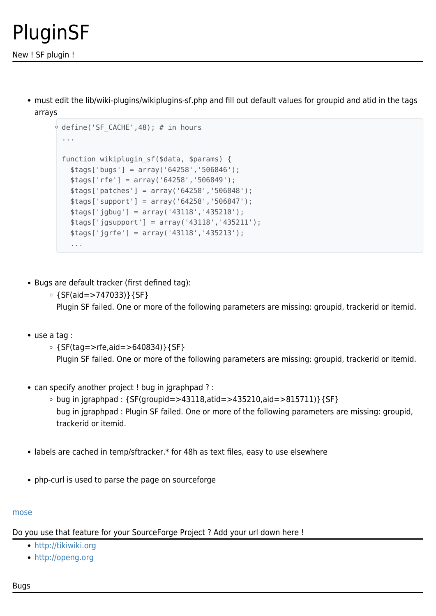## PluginSF

must edit the lib/wiki-plugins/wikiplugins-sf.php and fill out default values for groupid and atid in the tags arrays

```
\circ define('SF CACHE',48); # in hours
 ...
function wikiplugin sf($data, $params) {
    $tags['bugs'] = array('64258','506846');
   $tags['rfe'] = array('64258','506849');
   $tags['patches'] = array('64258','506848');
   $tags['support'] = array('64258','506847');
   $tags['jgbug'] = array('43118','435210');
   $tags['jgsupport'] = array('43118','435211');
   $tags['jgrfe'] = array('43118','435213');
    ...
```
- Bugs are default tracker (first defined tag):
	- $\circ$  {SF(aid=>747033)}{SF} Plugin SF failed. One or more of the following parameters are missing: groupid, trackerid or itemid.
- use a tag :
	- $\circ$  {SF(tag=>rfe,aid=>640834)}{SF} Plugin SF failed. One or more of the following parameters are missing: groupid, trackerid or itemid.
- can specify another project ! bug in jgraphpad ? :
	- $\circ$  bug in jgraphpad : {SF(groupid=>43118,atid=>435210,aid=>815711)}{SF} bug in jgraphpad : Plugin SF failed. One or more of the following parameters are missing: groupid, trackerid or itemid.
- labels are cached in temp/sftracker.\* for 48h as text files, easy to use elsewhere
- php-curl is used to parse the page on sourceforge

## [mose](https://tiki.org/UserPagemose)

Do you use that feature for your SourceForge Project ? Add your url down here !

- <http://tikiwiki.org>
- <http://openg.org>